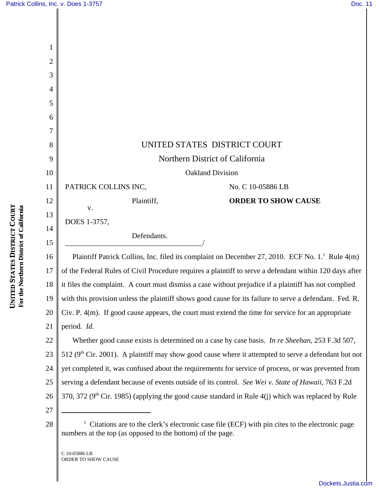| 1              |                                                                                                     |                            |
|----------------|-----------------------------------------------------------------------------------------------------|----------------------------|
| $\overline{2}$ |                                                                                                     |                            |
| 3              |                                                                                                     |                            |
| 4              |                                                                                                     |                            |
| 5              |                                                                                                     |                            |
| 6              |                                                                                                     |                            |
| 7              |                                                                                                     |                            |
| 8              | UNITED STATES DISTRICT COURT                                                                        |                            |
| 9              | Northern District of California                                                                     |                            |
| 10             | <b>Oakland Division</b>                                                                             |                            |
| 11             | PATRICK COLLINS INC,                                                                                | No. C 10-05886 LB          |
| 12             | Plaintiff,                                                                                          | <b>ORDER TO SHOW CAUSE</b> |
| 13             | V.                                                                                                  |                            |
| 14             | DOES 1-3757,                                                                                        |                            |
| 15             | Defendants.                                                                                         |                            |
| 16             | Plaintiff Patrick Collins, Inc. filed its complaint on December 27, 2010. ECF No. 1. <sup>1</sup> F |                            |
| 17             | of the Federal Rules of Civil Procedure requires a plaintiff to serve a defendant within 120        |                            |
| 18             | it files the complaint. A court must dismiss a case without prejudice if a plaintiff has not co     |                            |
| 19             | with this provision unless the plaintiff shows good cause for its failure to serve a defendant      |                            |
| 20             | Civ. P. 4(m). If good cause appears, the court must extend the time for service for an appro        |                            |
| 21             | period. Id.                                                                                         |                            |
| $22\,$         | Whether good cause exists is determined on a case by case basis. In re Sheehan, 253 F.              |                            |
| 23             | 512 $(9th Cir 2001)$ A plaintiff may show good cause where it attempted to serve a defenda          |                            |

**COURT** For the Northern District of California **For the Northern District of California DISTRICT STATES UNITED** 

23 24 Rule  $4(m)$ of the Federal Rules of Civil Procedure requires a plaintiff to serve a defendant within 120 days after it files the complaint. A court must dismiss a case without prejudice if a plaintiff has not complied with this provision unless the plaintiff shows good cause for its failure to serve a defendant. Fed. R. Civ. P. 4(m). If good cause appears, the court must extend the time for service for an appropriate Whether good cause exists is determined on a case by case basis. *In re Sheehan*, 253 F.3d 507, show good cause where it attempted to serve a defendant but not yet completed it, was confused about the requirements for service of process, or was prevented from

25 serving a defendant because of events outside of its control. *See Wei v. State of Hawaii*, 763 F.2d

26 370, 372 ( $9<sup>th</sup>$  Cir. 1985) (applying the good cause standard in Rule 4(j) which was replaced by Rule

27 28 <sup>1</sup>

 $1$  Citations are to the clerk's electronic case file (ECF) with pin cites to the electronic page numbers at the top (as opposed to the bottom) of the page.

C 10-05886 LB ORDER TO SHOW CAUSE